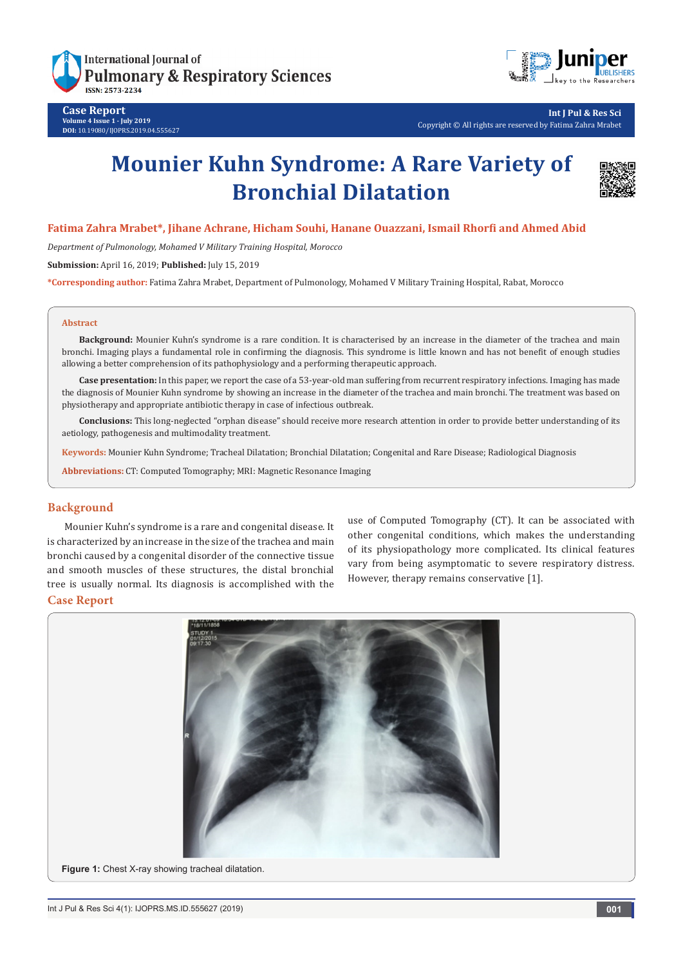

**Case Report Volume 4 Issue 1 - July 2019 DOI:** [10.19080/IJOPRS.2019.04.555627](http://dx.doi.org/10.19080/IJOPRS.2019.04.555627)



**Int J Pul & Res Sci** Copyright © All rights are reserved by Fatima Zahra Mrabet

# **Mounier Kuhn Syndrome: A Rare Variety of Bronchial Dilatation**



# **Fatima Zahra Mrabet\*, Jihane Achrane, Hicham Souhi, Hanane Ouazzani, Ismail Rhorfi and Ahmed Abid**

*Department of Pulmonology, Mohamed V Military Training Hospital, Morocco*

**Submission:** April 16, 2019; **Published:** July 15, 2019

**\*Corresponding author:** Fatima Zahra Mrabet, Department of Pulmonology, Mohamed V Military Training Hospital, Rabat, Morocco

#### **Abstract**

**Background:** Mounier Kuhn's syndrome is a rare condition. It is characterised by an increase in the diameter of the trachea and main bronchi. Imaging plays a fundamental role in confirming the diagnosis. This syndrome is little known and has not benefit of enough studies allowing a better comprehension of its pathophysiology and a performing therapeutic approach.

**Case presentation:** In this paper, we report the case of a 53-year-old man suffering from recurrent respiratory infections. Imaging has made the diagnosis of Mounier Kuhn syndrome by showing an increase in the diameter of the trachea and main bronchi. The treatment was based on physiotherapy and appropriate antibiotic therapy in case of infectious outbreak.

**Conclusions:** This long-neglected "orphan disease" should receive more research attention in order to provide better understanding of its aetiology, pathogenesis and multimodality treatment.

**Keywords:** Mounier Kuhn Syndrome; Tracheal Dilatation; Bronchial Dilatation; Congenital and Rare Disease; Radiological Diagnosis

**Abbreviations:** CT: Computed Tomography; MRI: Magnetic Resonance Imaging

### **Background**

Mounier Kuhn's syndrome is a rare and congenital disease. It is characterized by an increase in the size of the trachea and main bronchi caused by a congenital disorder of the connective tissue and smooth muscles of these structures, the distal bronchial tree is usually normal. Its diagnosis is accomplished with the

use of Computed Tomography (CT). It can be associated with other congenital conditions, which makes the understanding of its physiopathology more complicated. Its clinical features vary from being asymptomatic to severe respiratory distress. However, therapy remains conservative [1].

#### **Case Report**

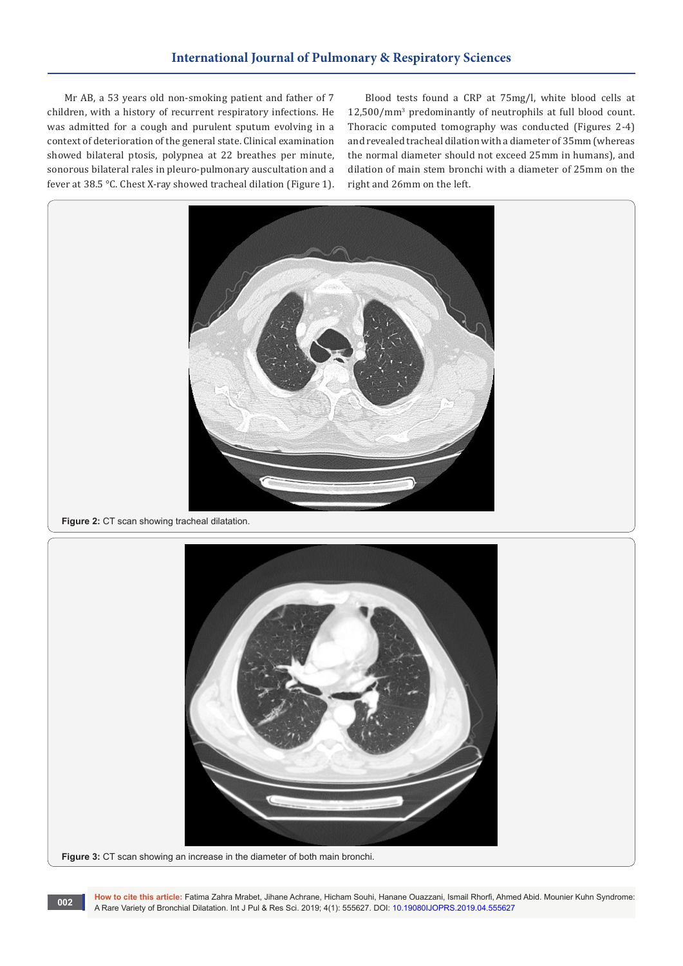# **International Journal of Pulmonary & Respiratory Sciences**

Mr AB, a 53 years old non-smoking patient and father of 7 children, with a history of recurrent respiratory infections. He was admitted for a cough and purulent sputum evolving in a context of deterioration of the general state. Clinical examination showed bilateral ptosis, polypnea at 22 breathes per minute, sonorous bilateral rales in pleuro-pulmonary auscultation and a fever at 38.5 °C. Chest X-ray showed tracheal dilation (Figure 1).

Blood tests found a CRP at 75mg/l, white blood cells at 12,500/mm<sup>3</sup> predominantly of neutrophils at full blood count. Thoracic computed tomography was conducted (Figures 2-4) and revealed tracheal dilation with a diameter of 35mm (whereas the normal diameter should not exceed 25mm in humans), and dilation of main stem bronchi with a diameter of 25mm on the right and 26mm on the left.



**Figure 2:** CT scan showing tracheal dilatation.



**How to cite this article:** Fatima Zahra Mrabet, Jihane Achrane, Hicham Souhi, Hanane Ouazzani, Ismail Rhorfi, Ahmed Abid. Mounier Kuhn Syndrome: A Rare Variety of Bronchial Dilatation. Int J Pul & Res Sci. 2019; 4(1): 555627. DOI: [10.19080IJOPRS.2019.04.555627](http://dx.doi.org/10.19080/IJOPRS.2019.04.555627) **<sup>002</sup>**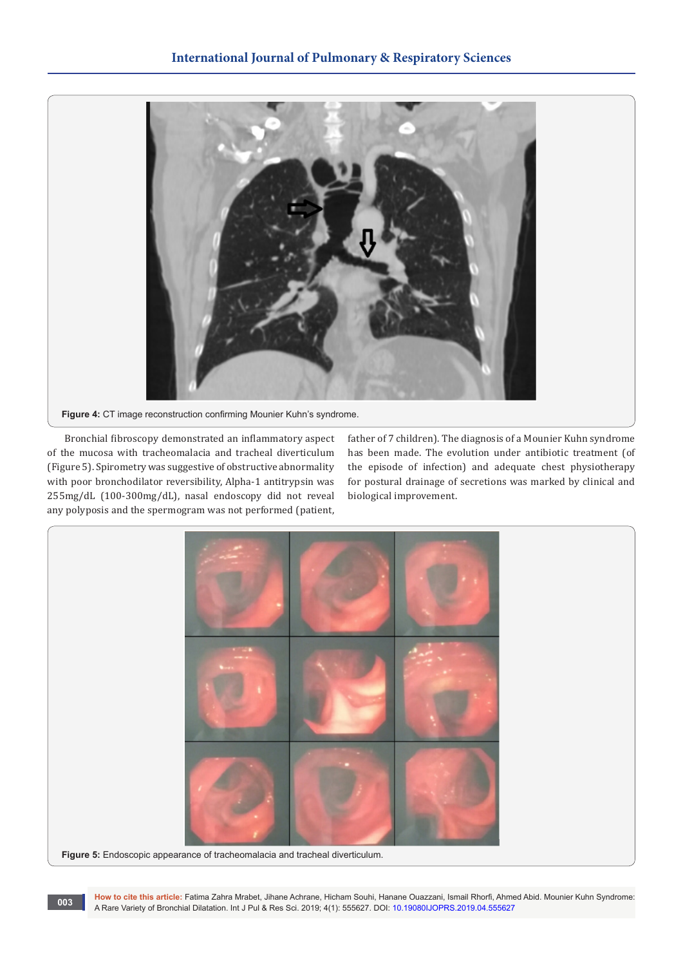

**Figure 4:** CT image reconstruction confirming Mounier Kuhn's syndrome.

Bronchial fibroscopy demonstrated an inflammatory aspect of the mucosa with tracheomalacia and tracheal diverticulum (Figure 5). Spirometry was suggestive of obstructive abnormality with poor bronchodilator reversibility, Alpha-1 antitrypsin was 255mg/dL (100-300mg/dL), nasal endoscopy did not reveal any polyposis and the spermogram was not performed (patient,

father of 7 children). The diagnosis of a Mounier Kuhn syndrome has been made. The evolution under antibiotic treatment (of the episode of infection) and adequate chest physiotherapy for postural drainage of secretions was marked by clinical and biological improvement.



**How to cite this article:** Fatima Zahra Mrabet, Jihane Achrane, Hicham Souhi, Hanane Ouazzani, Ismail Rhorfi, Ahmed Abid. Mounier Kuhn Syndrome: A Rare Variety of Bronchial Dilatation. Int J Pul & Res Sci. 2019; 4(1): 555627. DOI: [10.19080IJOPRS.2019.04.555627](http://dx.doi.org/10.19080/IJOPRS.2019.04.555627) **<sup>003</sup>**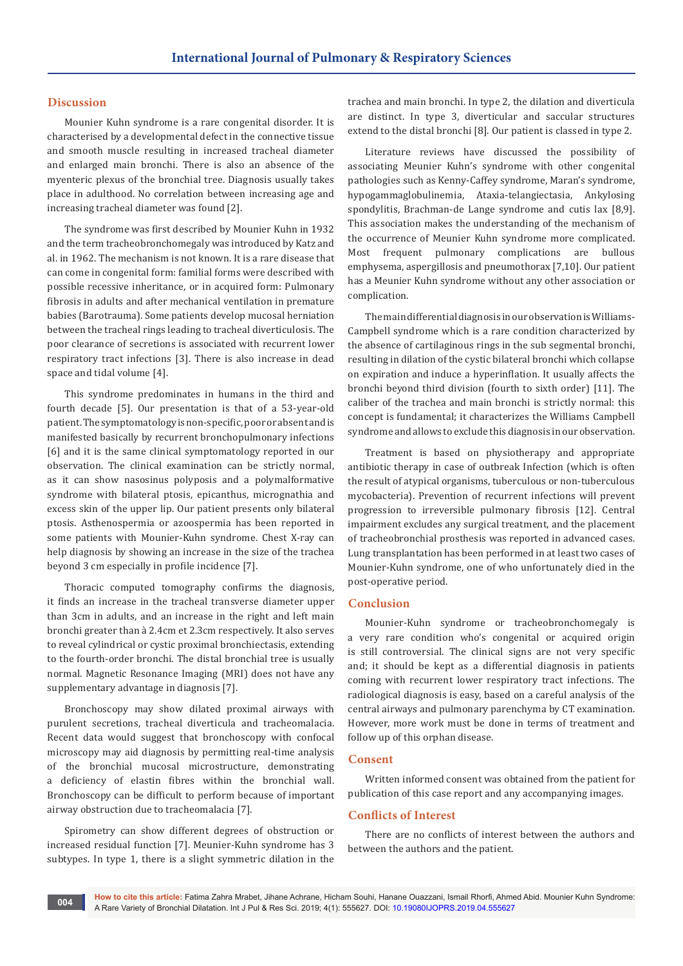#### **Discussion**

Mounier Kuhn syndrome is a rare congenital disorder. It is characterised by a developmental defect in the connective tissue and smooth muscle resulting in increased tracheal diameter and enlarged main bronchi. There is also an absence of the myenteric plexus of the bronchial tree. Diagnosis usually takes place in adulthood. No correlation between increasing age and increasing tracheal diameter was found [2].

The syndrome was first described by Mounier Kuhn in 1932 and the term tracheobronchomegaly was introduced by Katz and al. in 1962. The mechanism is not known. It is a rare disease that can come in congenital form: familial forms were described with possible recessive inheritance, or in acquired form: Pulmonary fibrosis in adults and after mechanical ventilation in premature babies (Barotrauma). Some patients develop mucosal herniation between the tracheal rings leading to tracheal diverticulosis. The poor clearance of secretions is associated with recurrent lower respiratory tract infections [3]. There is also increase in dead space and tidal volume [4].

This syndrome predominates in humans in the third and fourth decade [5]. Our presentation is that of a 53-year-old patient. The symptomatology is non-specific, poor or absent and is manifested basically by recurrent bronchopulmonary infections [6] and it is the same clinical symptomatology reported in our observation. The clinical examination can be strictly normal, as it can show nasosinus polyposis and a polymalformative syndrome with bilateral ptosis, epicanthus, micrognathia and excess skin of the upper lip. Our patient presents only bilateral ptosis. Asthenospermia or azoospermia has been reported in some patients with Mounier-Kuhn syndrome. Chest X-ray can help diagnosis by showing an increase in the size of the trachea beyond 3 cm especially in profile incidence [7].

Thoracic computed tomography confirms the diagnosis, it finds an increase in the tracheal transverse diameter upper than 3cm in adults, and an increase in the right and left main bronchi greater than à 2.4cm et 2.3cm respectively. It also serves to reveal cylindrical or cystic proximal bronchiectasis, extending to the fourth-order bronchi. The distal bronchial tree is usually normal. Magnetic Resonance Imaging (MRI) does not have any supplementary advantage in diagnosis [7].

Bronchoscopy may show dilated proximal airways with purulent secretions, tracheal diverticula and tracheomalacia. Recent data would suggest that bronchoscopy with confocal microscopy may aid diagnosis by permitting real-time analysis of the bronchial mucosal microstructure, demonstrating a deficiency of elastin fibres within the bronchial wall. Bronchoscopy can be difficult to perform because of important airway obstruction due to tracheomalacia [7].

Spirometry can show different degrees of obstruction or increased residual function [7]. Meunier-Kuhn syndrome has 3 subtypes. In type 1, there is a slight symmetric dilation in the

trachea and main bronchi. In type 2, the dilation and diverticula are distinct. In type 3, diverticular and saccular structures extend to the distal bronchi [8]. Our patient is classed in type 2.

Literature reviews have discussed the possibility of associating Meunier Kuhn's syndrome with other congenital pathologies such as Kenny-Caffey syndrome, Maran's syndrome, hypogammaglobulinemia, Ataxia-telangiectasia, Ankylosing spondylitis, Brachman-de Lange syndrome and cutis lax [8,9]. This association makes the understanding of the mechanism of the occurrence of Meunier Kuhn syndrome more complicated. Most frequent pulmonary complications are bullous emphysema, aspergillosis and pneumothorax [7,10]. Our patient has a Meunier Kuhn syndrome without any other association or complication.

The main differential diagnosis in our observation is Williams-Campbell syndrome which is a rare condition characterized by the absence of cartilaginous rings in the sub segmental bronchi, resulting in dilation of the cystic bilateral bronchi which collapse on expiration and induce a hyperinflation. It usually affects the bronchi beyond third division (fourth to sixth order) [11]. The caliber of the trachea and main bronchi is strictly normal: this concept is fundamental; it characterizes the Williams Campbell syndrome and allows to exclude this diagnosis in our observation.

Treatment is based on physiotherapy and appropriate antibiotic therapy in case of outbreak Infection (which is often the result of atypical organisms, tuberculous or non-tuberculous mycobacteria). Prevention of recurrent infections will prevent progression to irreversible pulmonary fibrosis [12]. Central impairment excludes any surgical treatment, and the placement of tracheobronchial prosthesis was reported in advanced cases. Lung transplantation has been performed in at least two cases of Mounier-Kuhn syndrome, one of who unfortunately died in the post-operative period.

#### **Conclusion**

Mounier-Kuhn syndrome or tracheobronchomegaly is a very rare condition who's congenital or acquired origin is still controversial. The clinical signs are not very specific and; it should be kept as a differential diagnosis in patients coming with recurrent lower respiratory tract infections. The radiological diagnosis is easy, based on a careful analysis of the central airways and pulmonary parenchyma by CT examination. However, more work must be done in terms of treatment and follow up of this orphan disease.

#### **Consent**

Written informed consent was obtained from the patient for publication of this case report and any accompanying images.

#### **Conflicts of Interest**

There are no conflicts of interest between the authors and between the authors and the patient.